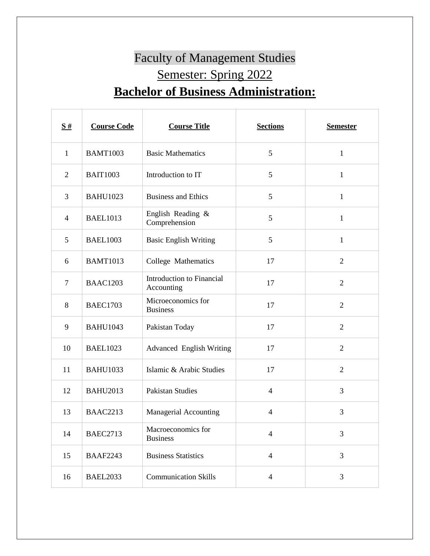## Faculty of Management Studies Semester: Spring 2022 **Bachelor of Business Administration:**

| $\frac{S#}{4}$ | <b>Course Code</b> | <b>Course Title</b>                            | <b>Sections</b> | <b>Semester</b> |
|----------------|--------------------|------------------------------------------------|-----------------|-----------------|
| $\mathbf{1}$   | <b>BAMT1003</b>    | <b>Basic Mathematics</b>                       | 5               | $\mathbf{1}$    |
| $\overline{2}$ | <b>BAIT1003</b>    | Introduction to IT                             | 5               | $\mathbf{1}$    |
| 3              | <b>BAHU1023</b>    | <b>Business and Ethics</b>                     | 5               | 1               |
| $\overline{4}$ | <b>BAEL1013</b>    | English Reading &<br>Comprehension             | 5               | $\mathbf{1}$    |
| 5              | <b>BAEL1003</b>    | <b>Basic English Writing</b>                   | 5               | $\mathbf{1}$    |
| 6              | <b>BAMT1013</b>    | College Mathematics                            | 17              | $\overline{2}$  |
| $\tau$         | <b>BAAC1203</b>    | <b>Introduction to Financial</b><br>Accounting | 17              | $\overline{2}$  |
| 8              | <b>BAEC1703</b>    | Microeconomics for<br><b>Business</b>          | 17              | $\overline{2}$  |
| 9              | <b>BAHU1043</b>    | Pakistan Today                                 | 17              | $\overline{2}$  |
| 10             | <b>BAEL1023</b>    | <b>Advanced English Writing</b>                | 17              | $\overline{2}$  |
| 11             | <b>BAHU1033</b>    | Islamic & Arabic Studies                       | 17              | $\overline{2}$  |
| 12             | <b>BAHU2013</b>    | <b>Pakistan Studies</b>                        | $\overline{4}$  | 3               |
| 13             | <b>BAAC2213</b>    | Managerial Accounting                          | $\overline{4}$  | 3               |
| 14             | <b>BAEC2713</b>    | Macroeconomics for<br><b>Business</b>          | $\overline{4}$  | 3               |
| 15             | <b>BAAF2243</b>    | <b>Business Statistics</b>                     | $\overline{4}$  | 3               |
| 16             | <b>BAEL2033</b>    | <b>Communication Skills</b>                    | $\overline{4}$  | 3               |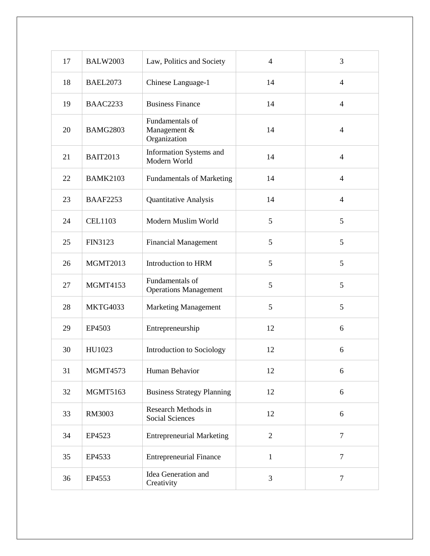| 17 | <b>BALW2003</b> | Law, Politics and Society                       | $\overline{4}$ | 3              |
|----|-----------------|-------------------------------------------------|----------------|----------------|
| 18 | <b>BAEL2073</b> | Chinese Language-1                              | 14             | $\overline{4}$ |
| 19 | <b>BAAC2233</b> | <b>Business Finance</b>                         | 14             | $\overline{4}$ |
| 20 | <b>BAMG2803</b> | Fundamentals of<br>Management &<br>Organization | 14             | $\overline{4}$ |
| 21 | <b>BAIT2013</b> | Information Systems and<br>Modern World         | 14             | $\overline{4}$ |
| 22 | <b>BAMK2103</b> | <b>Fundamentals of Marketing</b>                | 14             | $\overline{4}$ |
| 23 | <b>BAAF2253</b> | Quantitative Analysis                           | 14             | $\overline{4}$ |
| 24 | <b>CEL1103</b>  | Modern Muslim World                             | 5              | 5              |
| 25 | FIN3123         | <b>Financial Management</b>                     | 5              | 5              |
| 26 | <b>MGMT2013</b> | Introduction to HRM                             | 5              | 5              |
| 27 | <b>MGMT4153</b> | Fundamentals of<br><b>Operations Management</b> | 5              | 5              |
| 28 | <b>MKTG4033</b> | <b>Marketing Management</b>                     | 5              | 5              |
| 29 | EP4503          | Entrepreneurship                                | 12             | 6              |
| 30 | HU1023          | Introduction to Sociology                       | 12             | 6              |
| 31 | <b>MGMT4573</b> | Human Behavior                                  | 12             | 6              |
| 32 | <b>MGMT5163</b> | <b>Business Strategy Planning</b>               | 12             | 6              |
| 33 | RM3003          | Research Methods in<br><b>Social Sciences</b>   | 12             | 6              |
| 34 | EP4523          | <b>Entrepreneurial Marketing</b>                | $\overline{2}$ | $\overline{7}$ |
| 35 | EP4533          | <b>Entrepreneurial Finance</b>                  | $\mathbf{1}$   | $\overline{7}$ |
| 36 | EP4553          | Idea Generation and<br>Creativity               | 3              | $\overline{7}$ |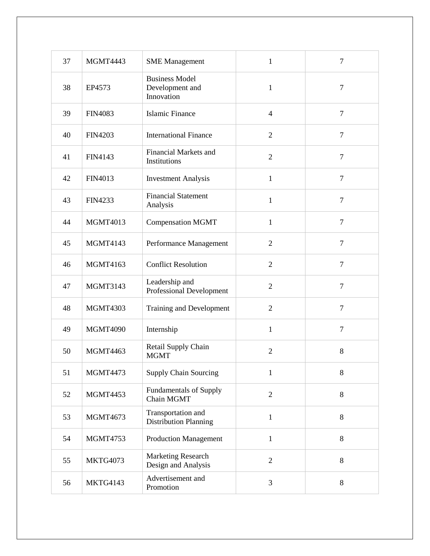| 37 | <b>MGMT4443</b> | <b>SME</b> Management                                  | $\mathbf{1}$   | $\overline{7}$ |
|----|-----------------|--------------------------------------------------------|----------------|----------------|
| 38 | EP4573          | <b>Business Model</b><br>Development and<br>Innovation | 1              | $\overline{7}$ |
| 39 | <b>FIN4083</b>  | Islamic Finance                                        | $\overline{4}$ | $\overline{7}$ |
| 40 | <b>FIN4203</b>  | <b>International Finance</b>                           | $\overline{2}$ | $\overline{7}$ |
| 41 | FIN4143         | <b>Financial Markets and</b><br>Institutions           | $\overline{2}$ | $\overline{7}$ |
| 42 | <b>FIN4013</b>  | <b>Investment Analysis</b>                             | $\mathbf{1}$   | $\overline{7}$ |
| 43 | <b>FIN4233</b>  | <b>Financial Statement</b><br>Analysis                 | $\mathbf{1}$   | $\overline{7}$ |
| 44 | <b>MGMT4013</b> | <b>Compensation MGMT</b>                               | $\mathbf{1}$   | $\overline{7}$ |
| 45 | <b>MGMT4143</b> | Performance Management                                 | $\overline{2}$ | $\overline{7}$ |
| 46 | <b>MGMT4163</b> | <b>Conflict Resolution</b>                             | $\overline{2}$ | $\overline{7}$ |
| 47 | <b>MGMT3143</b> | Leadership and<br>Professional Development             | $\overline{2}$ | $\overline{7}$ |
| 48 | <b>MGMT4303</b> | <b>Training and Development</b>                        | $\overline{2}$ | $\overline{7}$ |
| 49 | <b>MGMT4090</b> | Internship                                             | $\mathbf{1}$   | $\overline{7}$ |
| 50 | <b>MGMT4463</b> | Retail Supply Chain<br><b>MGMT</b>                     | $\overline{2}$ | 8              |
| 51 | <b>MGMT4473</b> | <b>Supply Chain Sourcing</b>                           | $\mathbf{1}$   | $8\,$          |
| 52 | <b>MGMT4453</b> | <b>Fundamentals of Supply</b><br>Chain MGMT            | $\overline{2}$ | $8\,$          |
| 53 | <b>MGMT4673</b> | Transportation and<br><b>Distribution Planning</b>     | $\mathbf{1}$   | 8              |
| 54 | <b>MGMT4753</b> | <b>Production Management</b>                           | $\mathbf{1}$   | $\,8\,$        |
| 55 | <b>MKTG4073</b> | <b>Marketing Research</b><br>Design and Analysis       | $\overline{2}$ | $8\,$          |
| 56 | <b>MKTG4143</b> | Advertisement and<br>Promotion                         | 3              | 8              |